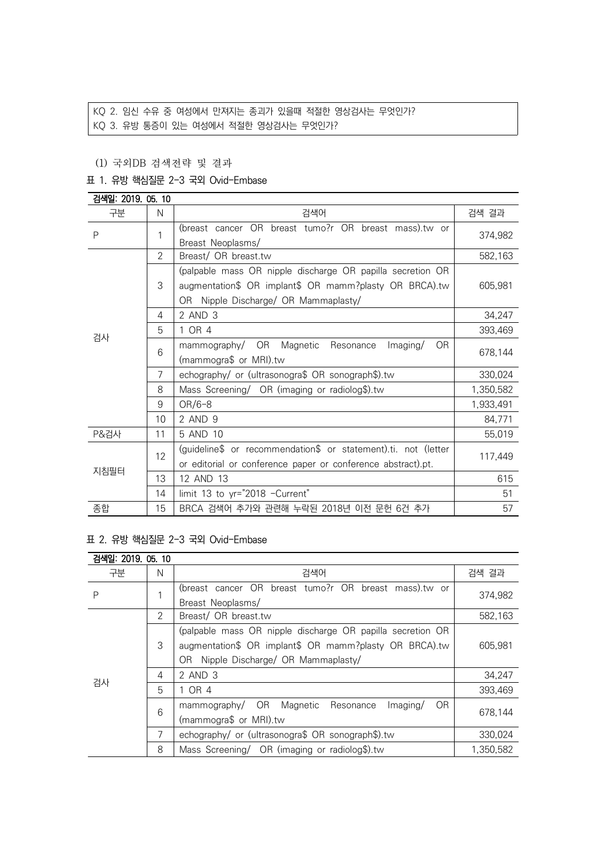# KQ 2. 임신 수유 중 여성에서 만져지는 종괴가 있을때 적절한 영상검사는 무엇인가?

KQ 3. 유방 통증이 있는 여성에서 적절한 영상검사는 무엇인가?

### (1) 국외DB 검색전략 및 결과

### 표 1. 유방 핵심질문 2-3 국외 Ovid-Embase

| 검색일: 2019. 05. 10 |    |                                                                |           |
|-------------------|----|----------------------------------------------------------------|-----------|
| 구분                | N  | 검색어                                                            | 검색 결과     |
| P                 | 1  | (breast cancer OR breast tumo?r OR breast mass).tw or          |           |
|                   |    | Breast Neoplasms/                                              | 374,982   |
|                   | 2  | Breast/ OR breast.tw                                           | 582,163   |
|                   |    | (palpable mass OR nipple discharge OR papilla secretion OR     |           |
|                   | 3  | augmentation\$ OR implant\$ OR mamm?plasty OR BRCA).tw         | 605,981   |
|                   |    | OR Nipple Discharge/ OR Mammaplasty/                           |           |
| 4                 |    | 2 AND 3                                                        | 34,247    |
|                   | 5  | 1 OR 4                                                         | 393,469   |
| 검사                | 6  | mammography/ OR Magnetic<br>Resonance<br>Imaging/<br>OR.       | 678,144   |
|                   |    | (mammogra\$ or MRI).tw                                         |           |
|                   | 7  | echography/ or (ultrasonogra\$ OR sonograph\$).tw              | 330,024   |
|                   | 8  | Mass Screening/ OR (imaging or radiolog\$).tw                  | 1,350,582 |
|                   | 9  | $OR/6-8$                                                       | 1,933,491 |
|                   | 10 | 2 AND 9                                                        | 84,771    |
| P&검사              | 11 | 5 AND 10                                                       | 55,019    |
|                   | 12 | (guideline\$ or recommendation\$ or statement).ti. not (letter |           |
|                   |    | or editorial or conference paper or conference abstract).pt.   | 117,449   |
| 지침필터              | 13 | 12 AND 13                                                      | 615       |
|                   | 14 | limit 13 to yr="2018 -Current"                                 | 51        |
| 종합                | 15 | BRCA 검색어 추가와 관련해 누락된 2018년 이전 문헌 6건 추가                         | 57        |

#### 표 2. 유방 핵심질문 2-3 국외 Ovid-Embase

| 검색일: 2019. 05. 10 |   |                                                             |           |  |
|-------------------|---|-------------------------------------------------------------|-----------|--|
| 구분                | N | 검색어                                                         | 검색 결과     |  |
| P                 | 1 | (breast cancer OR breast tumo?r OR breast mass).tw or       | 374,982   |  |
|                   |   | Breast Neoplasms/                                           |           |  |
| 검사                | 2 | Breast/ OR breast.tw                                        | 582,163   |  |
|                   |   | (palpable mass OR nipple discharge OR papilla secretion OR  |           |  |
|                   | 3 | augmentation\$ OR implant\$ OR mamm?plasty OR BRCA).tw      | 605,981   |  |
|                   |   | Nipple Discharge/ OR Mammaplasty/<br>OR.                    |           |  |
|                   | 4 | 2 AND 3                                                     | 34,247    |  |
|                   | 5 | 1 OR 4                                                      | 393,469   |  |
|                   | 6 | OR.<br>mammography/ OR<br>Magnetic<br>Resonance<br>Imaging/ |           |  |
|                   |   | (mammogra\$ or MRI).tw                                      | 678,144   |  |
|                   | 7 | echography/ or (ultrasonogra\$ OR sonograph\$).tw           | 330,024   |  |
|                   | 8 | Mass Screening/ OR (imaging or radiolog\$).tw               | 1,350,582 |  |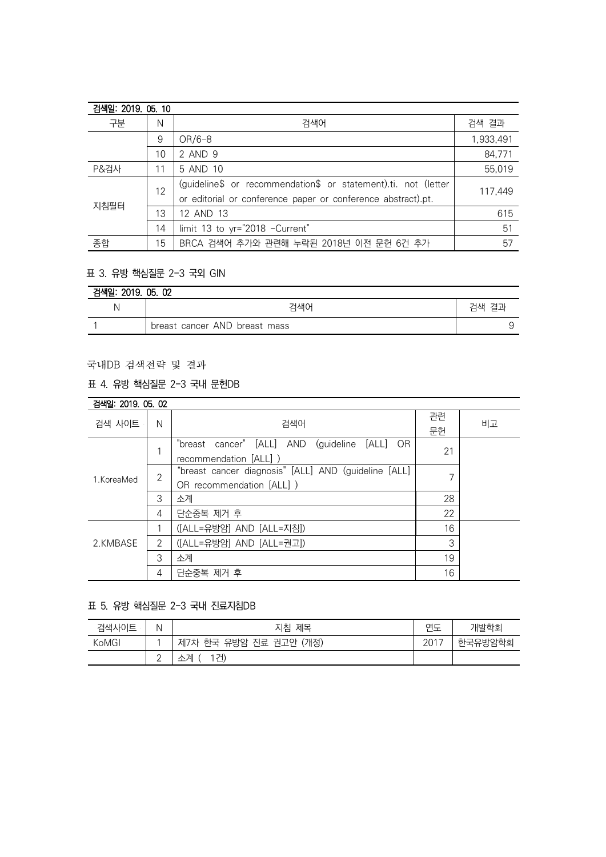| 검색일: 2019. 05. 10 |    |                                                                |           |
|-------------------|----|----------------------------------------------------------------|-----------|
| 구분                | N  | 검색어                                                            | 검색 결과     |
|                   | 9  | $OR/6-8$                                                       | 1,933,491 |
|                   | 10 | 2 AND 9                                                        | 84,771    |
| P&검사              | 11 | 5 AND 10                                                       | 55,019    |
| 지침필터              | 12 | (guideline\$ or recommendation\$ or statement).ti. not (letter | 117.449   |
|                   |    | or editorial or conference paper or conference abstract).pt.   |           |
|                   | 13 | 12 AND 13                                                      | 615       |
|                   | 14 | limit 13 to yr="2018 -Current"                                 | 51        |
| 종합                | 15 | BRCA 검색어 추가와 관련해 누락된 2018년 이전 문헌 6건 추가                         | 57        |

## 표 3. 유방 핵심질문 2-3 국외 GIN

| 검색일: 2019. 05. 02 |                               |       |  |
|-------------------|-------------------------------|-------|--|
|                   | 검색어                           | 검색 결과 |  |
|                   | breast cancer AND breast mass |       |  |

## 국내DB 검색전략 및 결과

## 표 4. 유방 핵심질문 2-3 국내 문헌DB

| 검색일: 2019, 05, 02 |                |                                                             |    |    |
|-------------------|----------------|-------------------------------------------------------------|----|----|
| 검색 사이트            | N              | 검색어                                                         | 관련 | 비고 |
|                   |                |                                                             | 문헌 |    |
| 1. KoreaMed       | 1              | "breast cancer" [ALL]<br>AND<br>(guideline<br>[ALL]<br>- OR | 21 |    |
|                   |                | recommendation [ALL] )                                      |    |    |
|                   | $\overline{2}$ | "breast cancer diagnosis" [ALL] AND (guideline [ALL]        |    |    |
|                   |                | OR recommendation [ALL] )                                   |    |    |
|                   | 3              | 소계                                                          | 28 |    |
|                   | 4              | 단순중복 제거 후                                                   | 22 |    |
| 2.KMBASE          |                | ([ALL=유방암] AND [ALL=지침])                                    | 16 |    |
|                   | $\overline{2}$ | ([ALL=유방암] AND [ALL=권고])                                    | 3  |    |
|                   | 3              | 소계                                                          | 19 |    |
|                   | 4              | 단순중복 제거 후                                                   | 16 |    |

#### 표 5. 유방 핵심질문 2-3 국내 진료지침DB

| 검색사이트 | N               | 제목<br>지침                        | 연도   | 개발학회    |
|-------|-----------------|---------------------------------|------|---------|
| KoMGI |                 | (개정)<br>유방암 진료 권고안<br>제7차<br>하군 | 2017 | 한국유방암학회 |
|       | $\sqrt{2}$<br>∸ | 1건)<br>소계                       |      |         |